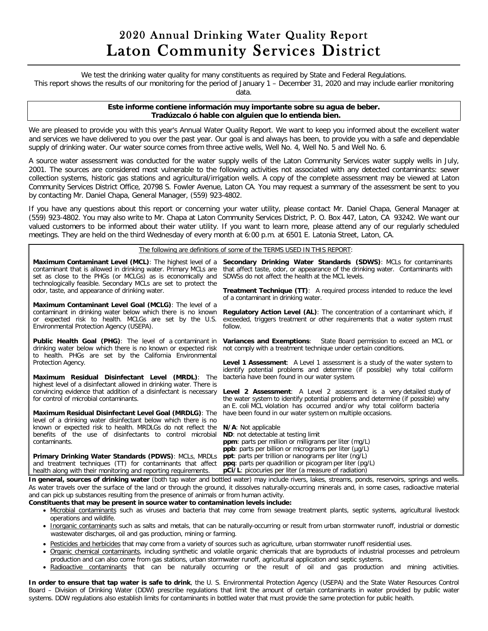## 2020 Annual Drinking Water Quality Report Laton Community Services District

We test the drinking water quality for many constituents as required by State and Federal Regulations.

This report shows the results of our monitoring for the period of January 1 – December 31, 2020 and may include earlier monitoring

data.

## **Este informe contiene información muy importante sobre su agua de beber. Tradúzcalo ó hable con alguien que lo entienda bien.**

We are pleased to provide you with this year's Annual Water Quality Report. We want to keep you informed about the excellent water and services we have delivered to you over the past year. Our goal is and always has been, to provide you with a safe and dependable supply of drinking water. Our water source comes from three active wells, Well No. 4, Well No. 5 and Well No. 6.

A source water assessment was conducted for the water supply wells of the Laton Community Services water supply wells in July, 2001. The sources are considered most vulnerable to the following activities not associated with any detected contaminants: sewer collection systems, historic gas stations and agricultural/irrigation wells. A copy of the complete assessment may be viewed at Laton Community Services District Office, 20798 S. Fowler Avenue, Laton CA. You may request a summary of the assessment be sent to you by contacting Mr. Daniel Chapa, General Manager, (559) 923-4802.

If you have any questions about this report or concerning your water utility, please contact Mr. Daniel Chapa, General Manager at (559) 923-4802. You may also write to Mr. Chapa at Laton Community Services District, P. O. Box 447, Laton, CA 93242. We want our valued customers to be informed about their water utility. If you want to learn more, please attend any of our regularly scheduled meetings. They are held on the third Wednesday of every month at 6:00 p.m. at 6501 E. Latonia Street, Laton, CA.

The following are definitions of some of the TERMS USED IN THIS REPORT:

| Maximum Contaminant Level (MCL): The highest level of a<br>contaminant that is allowed in drinking water. Primary MCLs are<br>set as close to the PHGs (or MCLGs) as is economically and<br>technologically feasible. Secondary MCLs are set to protect the<br>odor, taste, and appearance of drinking water. | Secondary Drinking Water Standards (SDWS): MCLs for contaminants<br>that affect taste, odor, or appearance of the drinking water. Contaminants with<br>SDWSs do not affect the health at the MCL levels.<br><b>Treatment Technique (TT):</b> A required process intended to reduce the level<br>of a contaminant in drinking water.                                                                                       |
|---------------------------------------------------------------------------------------------------------------------------------------------------------------------------------------------------------------------------------------------------------------------------------------------------------------|---------------------------------------------------------------------------------------------------------------------------------------------------------------------------------------------------------------------------------------------------------------------------------------------------------------------------------------------------------------------------------------------------------------------------|
| Maximum Contaminant Level Goal (MCLG): The level of a<br>contaminant in drinking water below which there is no known<br>or expected risk to health. MCLGs are set by the U.S.<br>Environmental Protection Agency (USEPA).                                                                                     | <b>Regulatory Action Level (AL):</b> The concentration of a contaminant which, if<br>exceeded, triggers treatment or other requirements that a water system must<br>follow.                                                                                                                                                                                                                                               |
| <b>Public Health Goal (PHG):</b> The level of a contaminant in<br>drinking water below which there is no known or expected risk<br>to health. PHGs are set by the California Environmental                                                                                                                    | <b>Variances and Exemptions:</b> State Board permission to exceed an MCL or<br>not comply with a treatment technique under certain conditions.                                                                                                                                                                                                                                                                            |
| Protection Agency.<br>Maximum Residual Disinfectant Level (MRDL): The<br>highest level of a disinfectant allowed in drinking water. There is                                                                                                                                                                  | <b>Level 1 Assessment:</b> A Level 1 assessment is a study of the water system to<br>identify potential problems and determine (if possible) why total coliform<br>bacteria have been found in our water system.                                                                                                                                                                                                          |
| convincing evidence that addition of a disinfectant is necessary<br>for control of microbial contaminants.                                                                                                                                                                                                    | <b>Level 2 Assessment:</b> A Level 2 assessment is a very detailed study of<br>the water system to identify potential problems and determine (if possible) why<br>an E. coli MCL violation has occurred and/or why total coliform bacteria                                                                                                                                                                                |
| Maximum Residual Disinfectant Level Goal (MRDLG): The<br>level of a drinking water disinfectant below which there is no                                                                                                                                                                                       | have been found in our water system on multiple occasions.                                                                                                                                                                                                                                                                                                                                                                |
| known or expected risk to health. MRDLGs do not reflect the<br>benefits of the use of disinfectants to control microbial<br>contaminants.                                                                                                                                                                     | N/A: Not applicable<br>ND: not detectable at testing limit<br><b>ppm</b> : parts per million or milligrams per liter (mg/L)<br>ppb: parts per billion or micrograms per liter (µq/L)                                                                                                                                                                                                                                      |
| Primary Drinking Water Standards (PDWS): MCLs, MRDLs<br>and treatment techniques (TT) for contaminants that affect<br>health along with their monitoring and reporting requirements.                                                                                                                          | <b>ppt</b> : parts per trillion or nanograms per liter (ng/L)<br>ppq: parts per quadrillion or picogram per liter (pg/L)<br><b>pCi/L</b> : picocuries per liter (a measure of radiation)<br>. See such a concert of distribution of a figure in the control of health and see the state of the concerted and securities and continuation of the state of the state of the state of the state of the state of the state of |

**In general, sources of drinking water** (both tap water and bottled water) may include rivers, lakes, streams, ponds, reservoirs, springs and wells. As water travels over the surface of the land or through the ground, it dissolves naturally-occurring minerals and, in some cases, radioactive material and can pick up substances resulting from the presence of animals or from human activity.

## **Constituents that may be present in source water to contamination levels include:**

- Microbial contaminants such as viruses and bacteria that may come from sewage treatment plants, septic systems, agricultural livestock operations and wildlife.
- Inorganic contaminants such as salts and metals, that can be naturally-occurring or result from urban stormwater runoff, industrial or domestic wastewater discharges, oil and gas production, mining or farming.
- Pesticides and herbicides that may come from a variety of sources such as agriculture, urban stormwater runoff residential uses.
- Organic chemical contaminants, including synthetic and volatile organic chemicals that are byproducts of industrial processes and petroleum production and can also come from gas stations, urban stormwater runoff, agricultural application and septic systems.
- Radioactive contaminants that can be naturally occurring or the result of oil and gas production and mining activities.

**In order to ensure that tap water is safe to drink**, the U. S. Environmental Protection Agency (USEPA) and the State Water Resources Control Board – Division of Drinking Water (DDW) prescribe regulations that limit the amount of certain contaminants in water provided by public water systems. DDW regulations also establish limits for contaminants in bottled water that must provide the same protection for public health.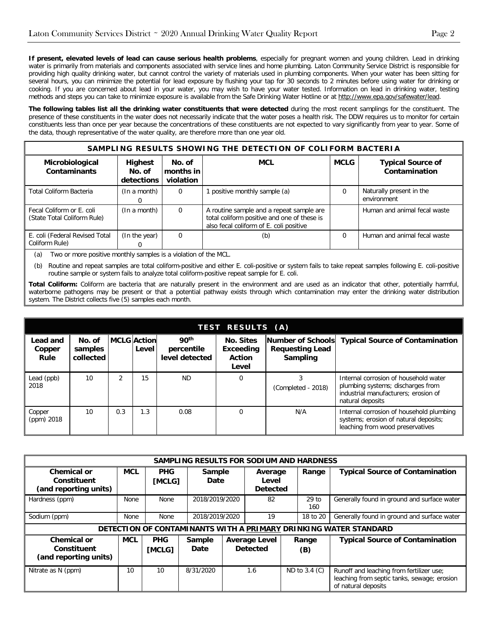**If present, elevated levels of lead can cause serious health problems**, especially for pregnant women and young children. Lead in drinking water is primarily from materials and components associated with service lines and home plumbing. Laton Community Service District is responsible for providing high quality drinking water, but cannot control the variety of materials used in plumbing components. When your water has been sitting for several hours, you can minimize the potential for lead exposure by flushing your tap for 30 seconds to 2 minutes before using water for drinking or cooking. If you are concerned about lead in your water, you may wish to have your water tested. Information on lead in drinking water, testing methods and steps you can take to minimize exposure is available from the Safe Drinking Water Hotline or a[t http://www.epa.gov/safewater/lead.](http://www.epa.gov/safewater/lead)

**The following tables list all the drinking water constituents that were detected** during the most recent samplings for the constituent. The presence of these constituents in the water does not necessarily indicate that the water poses a health risk. The DDW requires us to monitor for certain constituents less than once per year because the concentrations of these constituents are not expected to vary significantly from year to year. Some of the data, though representative of the water quality, are therefore more than one year old.

| SAMPLING RESULTS SHOWING THE DETECTION OF COLIFORM BACTERIA |                                        |                                  |                                                                                                                                    |             |                                           |  |  |  |
|-------------------------------------------------------------|----------------------------------------|----------------------------------|------------------------------------------------------------------------------------------------------------------------------------|-------------|-------------------------------------------|--|--|--|
| Microbiological<br><b>Contaminants</b>                      | <b>Highest</b><br>No. of<br>detections | No. of<br>months in<br>violation | <b>MCL</b>                                                                                                                         | <b>MCLG</b> | <b>Typical Source of</b><br>Contamination |  |  |  |
| Total Coliform Bacteria                                     | (In a month)                           | 0                                | positive monthly sample (a)                                                                                                        | 0           | Naturally present in the<br>environment   |  |  |  |
| Fecal Coliform or E. coli<br>(State Total Coliform Rule)    | (In a month)                           | $\mathbf 0$                      | A routine sample and a repeat sample are<br>total coliform positive and one of these is<br>also fecal coliform of E. coli positive |             | Human and animal fecal waste              |  |  |  |
| E. coli (Federal Revised Total<br>Coliform Rule)            | (In the year)                          | $\Omega$                         | (b)                                                                                                                                | 0           | Human and animal fecal waste              |  |  |  |

(a) Two or more positive monthly samples is a violation of the MCL.

(b) Routine and repeat samples are total coliform-positive and either E. coli-positive or system fails to take repeat samples following E. coli-positive routine sample or system fails to analyze total coliform-positive repeat sample for E. coli.

**Total Coliform:** Coliform are bacteria that are naturally present in the environment and are used as an indicator that other, potentially harmful, waterborne pathogens may be present or that a potential pathway exists through which contamination may enter the drinking water distribution system. The District collects five (5) samples each month.

| TEST RESULTS (A)           |                                |     |                             |                                                  |                                                         |                                                         |                                                                                                                                        |  |  |  |
|----------------------------|--------------------------------|-----|-----------------------------|--------------------------------------------------|---------------------------------------------------------|---------------------------------------------------------|----------------------------------------------------------------------------------------------------------------------------------------|--|--|--|
| Lead and<br>Copper<br>Rule | No. of<br>samples<br>collected |     | <b>MCLG</b> Action<br>Level | 90 <sup>th</sup><br>percentile<br>level detected | <b>No. Sites</b><br>Exceeding<br><b>Action</b><br>Level | Number of Schools<br><b>Requesting Lead</b><br>Sampling | <b>Typical Source of Contamination</b>                                                                                                 |  |  |  |
| Lead (ppb)<br>2018         | 10                             |     | 15                          | <b>ND</b>                                        | $\Omega$                                                | (Completed - 2018)                                      | Internal corrosion of household water<br>plumbing systems; discharges from<br>industrial manufacturers; erosion of<br>natural deposits |  |  |  |
| Copper<br>(ppm) 2018       | 10                             | 0.3 | 1.3                         | 0.08                                             |                                                         | N/A                                                     | Internal corrosion of household plumbing<br>systems; erosion of natural deposits;<br>leaching from wood preservatives                  |  |  |  |

| SAMPLING RESULTS FOR SODIUM AND HARDNESS                   |                                                                  |                      |                              |                |                                         |                                     |                 |                                             |  |
|------------------------------------------------------------|------------------------------------------------------------------|----------------------|------------------------------|----------------|-----------------------------------------|-------------------------------------|-----------------|---------------------------------------------|--|
| <b>Chemical or</b><br>Constituent<br>(and reporting units) | <b>MCL</b>                                                       | <b>PHG</b><br>[MCLG] |                              | Sample<br>Date |                                         | Average<br>Level<br><b>Detected</b> |                 | <b>Typical Source of Contamination</b>      |  |
| Hardness (ppm)                                             | <b>None</b>                                                      | <b>None</b>          |                              | 2018/2019/2020 |                                         | 82                                  |                 | Generally found in ground and surface water |  |
| Sodium (ppm)                                               | None                                                             | None                 |                              | 2018/2019/2020 |                                         | 19                                  |                 | Generally found in ground and surface water |  |
|                                                            | DETECTION OF CONTAMINANTS WITH A PRIMARY DRINKING WATER STANDARD |                      |                              |                |                                         |                                     |                 |                                             |  |
| Chemical or<br>Constituent<br>(and reporting units)        | <b>MCL</b>                                                       | <b>PHG</b><br>[MCLG] | <b>Sample</b><br><b>Date</b> |                | <b>Average Level</b><br><b>Detected</b> |                                     | Range<br>(B)    | <b>Typical Source of Contamination</b>      |  |
| Nitrate as N (ppm)                                         | 10                                                               | 10                   | 8/31/2020                    |                | 1.6                                     |                                     | ND to $3.4$ (C) | Runoff and leaching from fertilizer use;    |  |